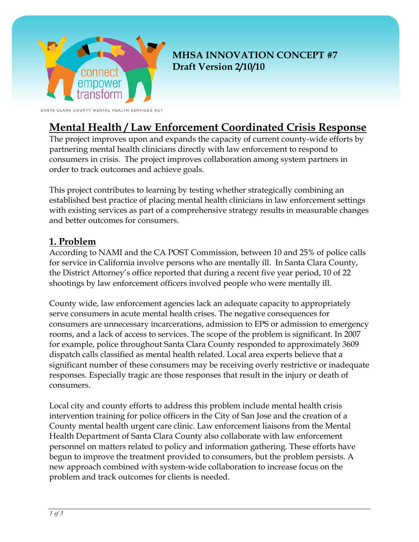

## **MHSA INNOVATION CONCEPT #7 Draft Version 2/10/10**

SANTA CLARA COUNT MENTAL HEALTH SERVICES ACT

# **Mental Health / Law Enforcement Coordinated Crisis Response**

The project improves upon and expands the capacity of current county-wide efforts by partnering mental health clinicians directly with law enforcement to respond to consumers in crisis. The project improves collaboration among system partners in order to track outcomes and achieve goals.

This project contributes to learning by testing whether strategically combining an established best practice of placing mental health clinicians in law enforcement settings with existing services as part of a comprehensive strategy results in measurable changes and better outcomes for consumers.

### **1. Problem**

According to NAMI and the CA POST Commission, between 10 and 25% of police calls for service in California involve persons who are mentally ill. In Santa Clara County, the District Attorney's office reported that during a recent five year period, 10 of 22 shootings by law enforcement officers involved people who were mentally ill.

County wide, law enforcement agencies lack an adequate capacity to appropriately serve consumers in acute mental health crises. The negative consequences for consumers are unnecessary incarcerations, admission to EPS or admission to emergency rooms, and a lack of access to services. The scope of the problem is significant. In 2007 for example, police throughout Santa Clara County responded to approximately 3609 dispatch calls classified as mental health related. Local area experts believe that a significant number of these consumers may be receiving overly restrictive or inadequate responses. Especially tragic are those responses that result in the injury or death of consumers.

Local city and county efforts to address this problem include mental health crisis intervention training for police officers in the City of San Jose and the creation of a County mental health urgent care clinic. Law enforcement liaisons from the Mental Health Department of Santa Clara County also collaborate with law enforcement personnel on matters related to policy and information gathering. These efforts have begun to improve the treatment provided to consumers, but the problem persists. A new approach combined with system-wide collaboration to increase focus on the problem and track outcomes for clients is needed.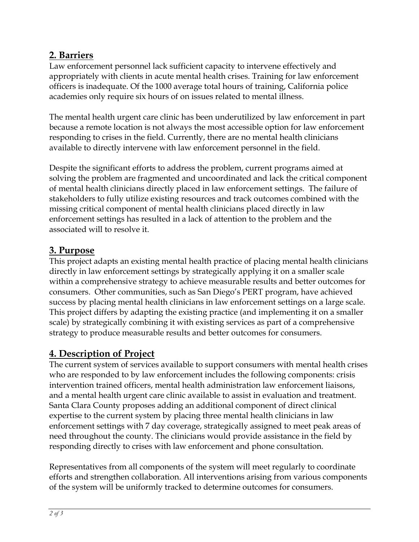## **2. Barriers**

Law enforcement personnel lack sufficient capacity to intervene effectively and appropriately with clients in acute mental health crises. Training for law enforcement officers is inadequate. Of the 1000 average total hours of training, California police academies only require six hours of on issues related to mental illness.

The mental health urgent care clinic has been underutilized by law enforcement in part because a remote location is not always the most accessible option for law enforcement responding to crises in the field. Currently, there are no mental health clinicians available to directly intervene with law enforcement personnel in the field.

Despite the significant efforts to address the problem, current programs aimed at solving the problem are fragmented and uncoordinated and lack the critical component of mental health clinicians directly placed in law enforcement settings. The failure of stakeholders to fully utilize existing resources and track outcomes combined with the missing critical component of mental health clinicians placed directly in law enforcement settings has resulted in a lack of attention to the problem and the associated will to resolve it.

## **3. Purpose**

This project adapts an existing mental health practice of placing mental health clinicians directly in law enforcement settings by strategically applying it on a smaller scale within a comprehensive strategy to achieve measurable results and better outcomes for consumers. Other communities, such as San Diego's PERT program, have achieved success by placing mental health clinicians in law enforcement settings on a large scale. This project differs by adapting the existing practice (and implementing it on a smaller scale) by strategically combining it with existing services as part of a comprehensive strategy to produce measurable results and better outcomes for consumers.

### **4. Description of Project**

The current system of services available to support consumers with mental health crises who are responded to by law enforcement includes the following components: crisis intervention trained officers, mental health administration law enforcement liaisons, and a mental health urgent care clinic available to assist in evaluation and treatment. Santa Clara County proposes adding an additional component of direct clinical expertise to the current system by placing three mental health clinicians in law enforcement settings with 7 day coverage, strategically assigned to meet peak areas of need throughout the county. The clinicians would provide assistance in the field by responding directly to crises with law enforcement and phone consultation.

Representatives from all components of the system will meet regularly to coordinate efforts and strengthen collaboration. All interventions arising from various components of the system will be uniformly tracked to determine outcomes for consumers.